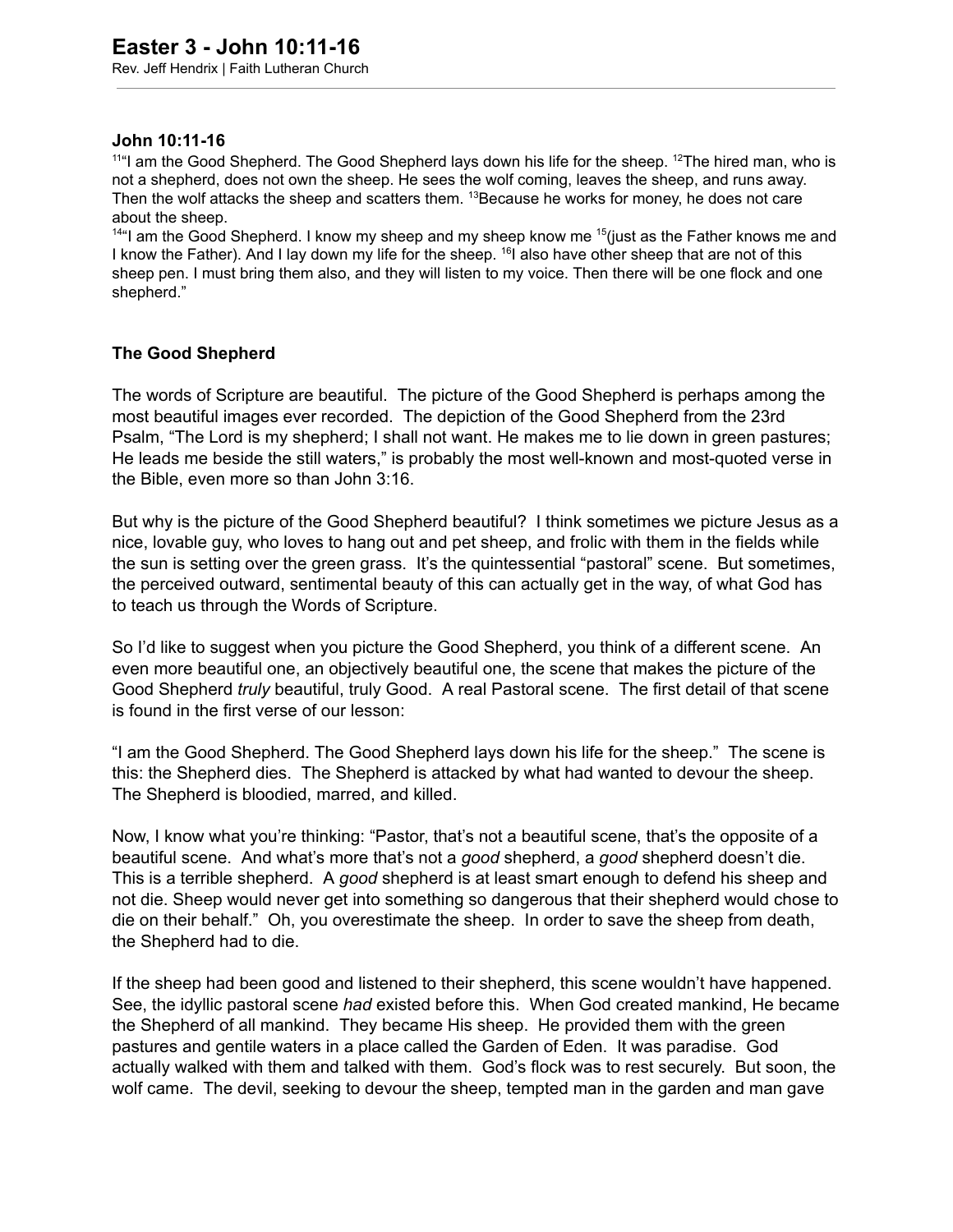## **John 10:1116**

 $11<sup>41</sup>$  am the Good Shepherd. The Good Shepherd lays down his life for the sheep.  $1<sup>2</sup>$ The hired man, who is not a shepherd, does not own the sheep. He sees the wolf coming, leaves the sheep, and runs away. Then the wolf attacks the sheep and scatters them. <sup>13</sup>Because he works for money, he does not care about the sheep.

<sup>14"</sup>I am the Good Shepherd. I know my sheep and my sheep know me <sup>15</sup> (just as the Father knows me and I know the Father). And I lay down my life for the sheep. <sup>16</sup>I also have other sheep that are not of this sheep pen. I must bring them also, and they will listen to my voice. Then there will be one flock and one shepherd."

## **The Good Shepherd**

The words of Scripture are beautiful. The picture of the Good Shepherd is perhaps among the most beautiful images ever recorded. The depiction of the Good Shepherd from the 23rd Psalm, "The Lord is my shepherd; I shall not want. He makes me to lie down in green pastures; He leads me beside the still waters," is probably the most well-known and most-quoted verse in the Bible, even more so than John 3:16.

But why is the picture of the Good Shepherd beautiful? I think sometimes we picture Jesus as a nice, lovable guy, who loves to hang out and pet sheep, and frolic with them in the fields while the sun is setting over the green grass. It's the quintessential "pastoral" scene. But sometimes, the perceived outward, sentimental beauty of this can actually get in the way, of what God has to teach us through the Words of Scripture.

So I'd like to suggest when you picture the Good Shepherd, you think of a different scene. An even more beautiful one, an objectively beautiful one, the scene that makes the picture of the Good Shepherd *truly* beautiful, truly Good. A real Pastoral scene. The first detail of that scene is found in the first verse of our lesson:

"I am the Good Shepherd. The Good Shepherd lays down his life for the sheep." The scene is this: the Shepherd dies. The Shepherd is attacked by what had wanted to devour the sheep. The Shepherd is bloodied, marred, and killed.

Now, I know what you're thinking: "Pastor, that's not a beautiful scene, that's the opposite of a beautiful scene. And what's more that's not a *good* shepherd, a *good* shepherd doesn't die. This is a terrible shepherd. A *good* shepherd is at least smart enough to defend his sheep and not die. Sheep would never get into something so dangerous that their shepherd would chose to die on their behalf." Oh, you overestimate the sheep. In order to save the sheep from death, the Shepherd had to die.

If the sheep had been good and listened to their shepherd, this scene wouldn't have happened. See, the idyllic pastoral scene *had* existed before this. When God created mankind, He became the Shepherd of all mankind. They became His sheep. He provided them with the green pastures and gentile waters in a place called the Garden of Eden. It was paradise. God actually walked with them and talked with them. God's flock was to rest securely. But soon, the wolf came. The devil, seeking to devour the sheep, tempted man in the garden and man gave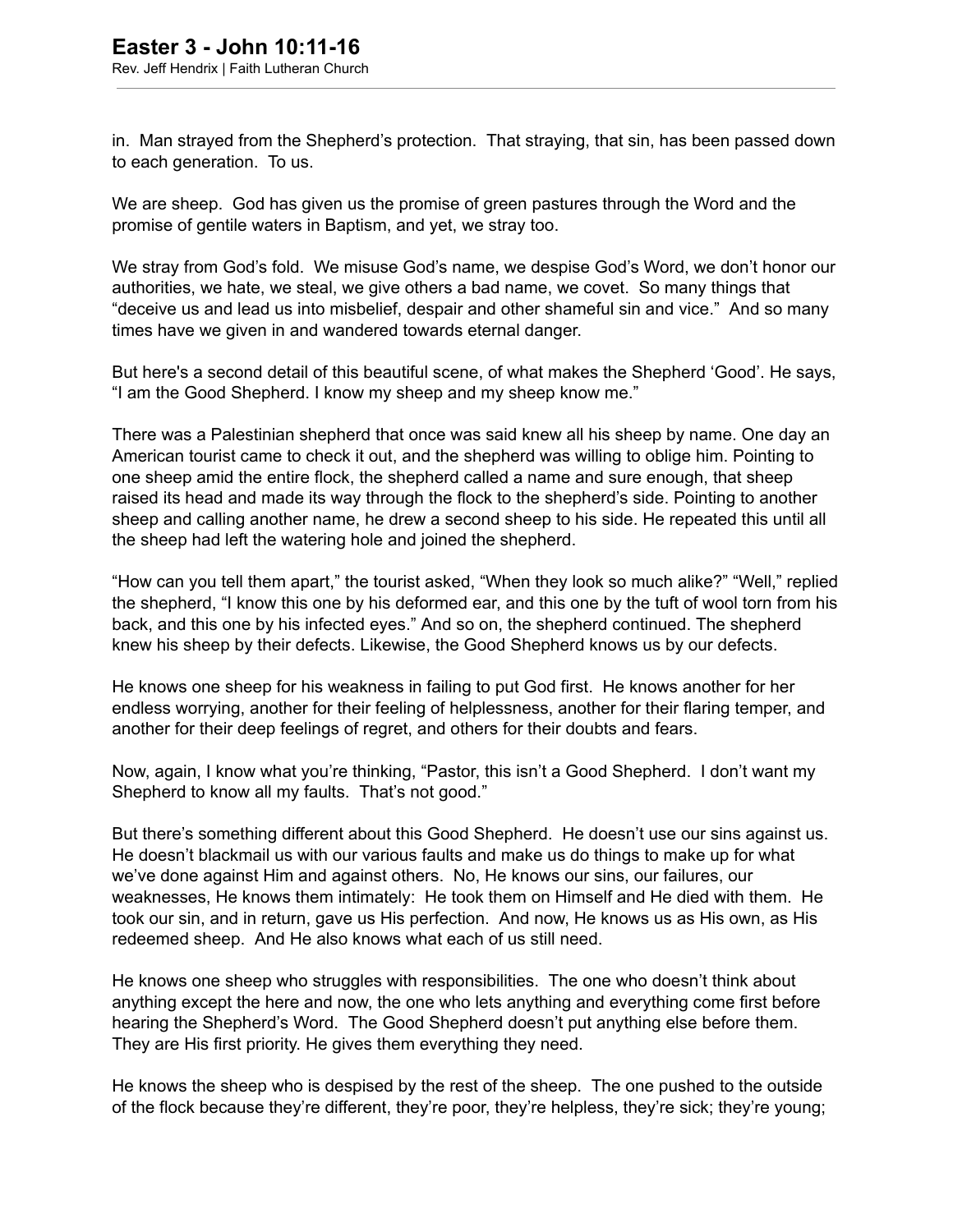in. Man strayed from the Shepherd's protection. That straying, that sin, has been passed down to each generation. To us.

We are sheep. God has given us the promise of green pastures through the Word and the promise of gentile waters in Baptism, and yet, we stray too.

We stray from God's fold. We misuse God's name, we despise God's Word, we don't honor our authorities, we hate, we steal, we give others a bad name, we covet. So many things that "deceive us and lead us into misbelief, despair and other shameful sin and vice." And so many times have we given in and wandered towards eternal danger.

But here's a second detail of this beautiful scene, of what makes the Shepherd 'Good'. He says, "I am the Good Shepherd. I know my sheep and my sheep know me."

There was a Palestinian shepherd that once was said knew all his sheep by name. One day an American tourist came to check it out, and the shepherd was willing to oblige him. Pointing to one sheep amid the entire flock, the shepherd called a name and sure enough, that sheep raised its head and made its way through the flock to the shepherd's side. Pointing to another sheep and calling another name, he drew a second sheep to his side. He repeated this until all the sheep had left the watering hole and joined the shepherd.

"How can you tell them apart," the tourist asked, "When they look so much alike?" "Well," replied the shepherd, "I know this one by his deformed ear, and this one by the tuft of wool torn from his back, and this one by his infected eyes." And so on, the shepherd continued. The shepherd knew his sheep by their defects. Likewise, the Good Shepherd knows us by our defects.

He knows one sheep for his weakness in failing to put God first. He knows another for her endless worrying, another for their feeling of helplessness, another for their flaring temper, and another for their deep feelings of regret, and others for their doubts and fears.

Now, again, I know what you're thinking, "Pastor, this isn't a Good Shepherd. I don't want my Shepherd to know all my faults. That's not good."

But there's something different about this Good Shepherd. He doesn't use our sins against us. He doesn't blackmail us with our various faults and make us do things to make up for what we've done against Him and against others. No, He knows our sins, our failures, our weaknesses, He knows them intimately: He took them on Himself and He died with them. He took our sin, and in return, gave us His perfection. And now, He knows us as His own, as His redeemed sheep. And He also knows what each of us still need.

He knows one sheep who struggles with responsibilities. The one who doesn't think about anything except the here and now, the one who lets anything and everything come first before hearing the Shepherd's Word. The Good Shepherd doesn't put anything else before them. They are His first priority. He gives them everything they need.

He knows the sheep who is despised by the rest of the sheep. The one pushed to the outside of the flock because they're different, they're poor, they're helpless, they're sick; they're young;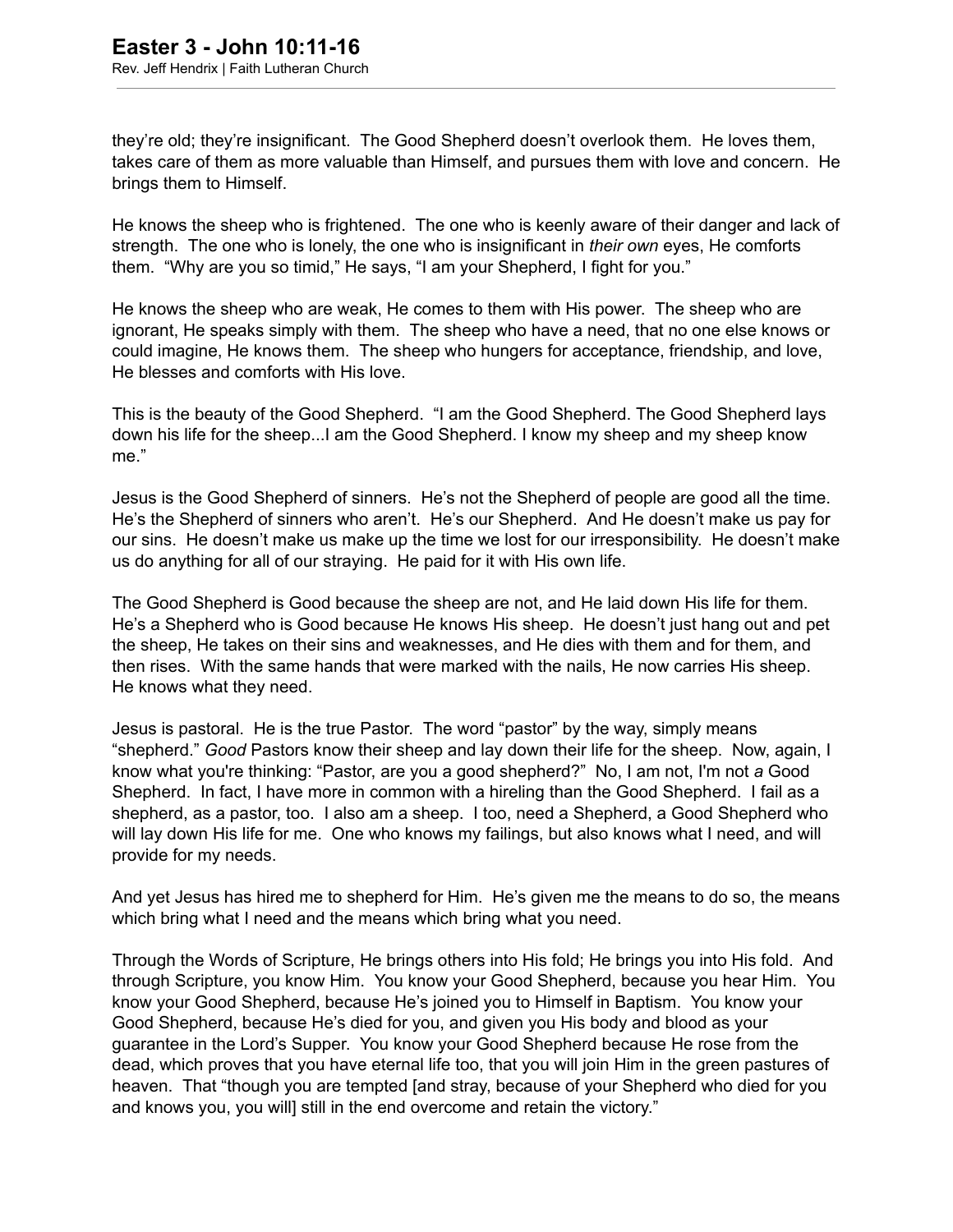they're old; they're insignificant. The Good Shepherd doesn't overlook them. He loves them, takes care of them as more valuable than Himself, and pursues them with love and concern. He brings them to Himself.

He knows the sheep who is frightened. The one who is keenly aware of their danger and lack of strength. The one who is lonely, the one who is insignificant in *their own* eyes, He comforts them. "Why are you so timid," He says, "I am your Shepherd, I fight for you."

He knows the sheep who are weak, He comes to them with His power. The sheep who are ignorant, He speaks simply with them. The sheep who have a need, that no one else knows or could imagine, He knows them. The sheep who hungers for acceptance, friendship, and love, He blesses and comforts with His love.

This is the beauty of the Good Shepherd. "I am the Good Shepherd. The Good Shepherd lays down his life for the sheep...I am the Good Shepherd. I know my sheep and my sheep know me."

Jesus is the Good Shepherd of sinners. He's not the Shepherd of people are good all the time. He's the Shepherd of sinners who aren't. He's our Shepherd. And He doesn't make us pay for our sins. He doesn't make us make up the time we lost for our irresponsibility. He doesn't make us do anything for all of our straying. He paid for it with His own life.

The Good Shepherd is Good because the sheep are not, and He laid down His life for them. He's a Shepherd who is Good because He knows His sheep. He doesn't just hang out and pet the sheep, He takes on their sins and weaknesses, and He dies with them and for them, and then rises. With the same hands that were marked with the nails, He now carries His sheep. He knows what they need.

Jesus is pastoral. He is the true Pastor. The word "pastor" by the way, simply means "shepherd." *Good* Pastors know their sheep and lay down their life for the sheep. Now, again, I know what you're thinking: "Pastor, are you a good shepherd?" No, I am not, I'm not *a* Good Shepherd. In fact, I have more in common with a hireling than the Good Shepherd. I fail as a shepherd, as a pastor, too. I also am a sheep. I too, need a Shepherd, a Good Shepherd who will lay down His life for me. One who knows my failings, but also knows what I need, and will provide for my needs.

And yet Jesus has hired me to shepherd for Him. He's given me the means to do so, the means which bring what I need and the means which bring what you need.

Through the Words of Scripture, He brings others into His fold; He brings you into His fold. And through Scripture, you know Him. You know your Good Shepherd, because you hear Him. You know your Good Shepherd, because He's joined you to Himself in Baptism. You know your Good Shepherd, because He's died for you, and given you His body and blood as your guarantee in the Lord's Supper. You know your Good Shepherd because He rose from the dead, which proves that you have eternal life too, that you will join Him in the green pastures of heaven. That "though you are tempted [and stray, because of your Shepherd who died for you and knows you, you will] still in the end overcome and retain the victory."